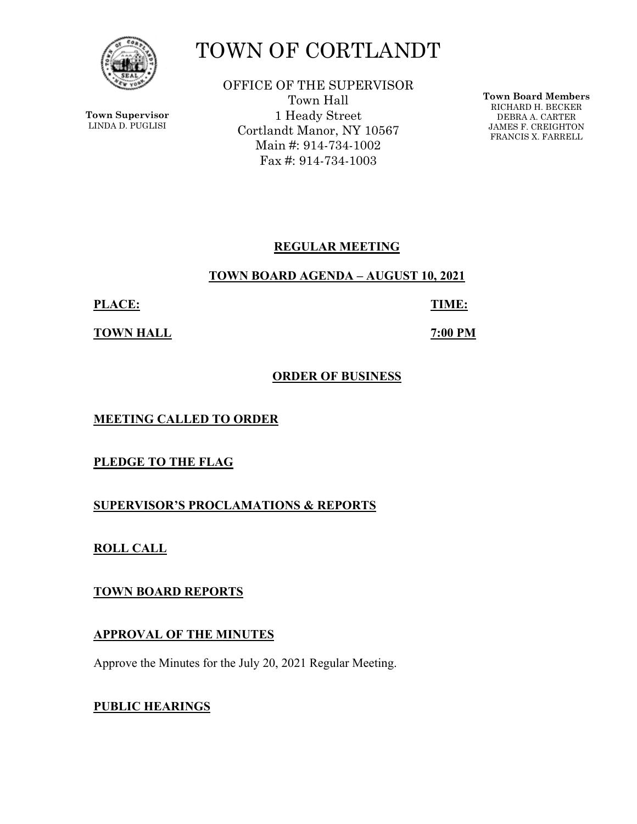

**Town Supervisor** LINDA D. PUGLISI

# TOWN OF CORTLANDT

OFFICE OF THE SUPERVISOR Town Hall 1 Heady Street Cortlandt Manor, NY 10567 Main #: 914-734-1002 Fax #: 914-734-1003

**Town Board Members** RICHARD H. BECKER DEBRA A. CARTER JAMES F. CREIGHTON FRANCIS X. FARRELL

## **REGULAR MEETING**

## **TOWN BOARD AGENDA – AUGUST 10, 2021**

**PLACE: TIME:** 

**TOWN HALL 7:00 PM** 

## **ORDER OF BUSINESS**

**MEETING CALLED TO ORDER** 

**PLEDGE TO THE FLAG** 

**SUPERVISOR'S PROCLAMATIONS & REPORTS** 

**ROLL CALL** 

**TOWN BOARD REPORTS** 

## **APPROVAL OF THE MINUTES**

Approve the Minutes for the July 20, 2021 Regular Meeting.

# **PUBLIC HEARINGS**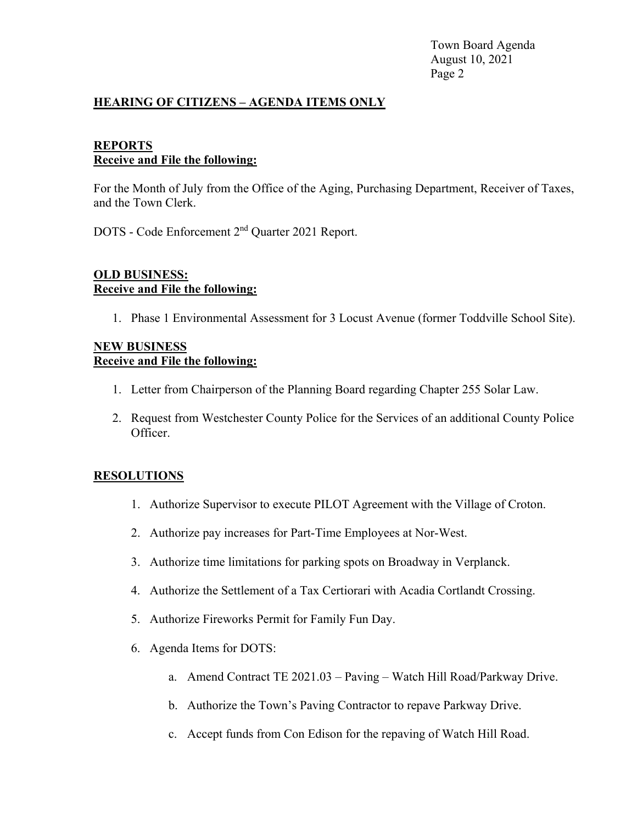Town Board Agenda August 10, 2021 Page 2

#### **HEARING OF CITIZENS – AGENDA ITEMS ONLY**

#### **REPORTS Receive and File the following:**

For the Month of July from the Office of the Aging, Purchasing Department, Receiver of Taxes, and the Town Clerk.

DOTS - Code Enforcement 2nd Quarter 2021 Report.

#### **OLD BUSINESS: Receive and File the following:**

1. Phase 1 Environmental Assessment for 3 Locust Avenue (former Toddville School Site).

#### **NEW BUSINESS Receive and File the following:**

- 1. Letter from Chairperson of the Planning Board regarding Chapter 255 Solar Law.
- 2. Request from Westchester County Police for the Services of an additional County Police Officer.

#### **RESOLUTIONS**

- 1. Authorize Supervisor to execute PILOT Agreement with the Village of Croton.
- 2. Authorize pay increases for Part-Time Employees at Nor-West.
- 3. Authorize time limitations for parking spots on Broadway in Verplanck.
- 4. Authorize the Settlement of a Tax Certiorari with Acadia Cortlandt Crossing.
- 5. Authorize Fireworks Permit for Family Fun Day.
- 6. Agenda Items for DOTS:
	- a. Amend Contract TE 2021.03 Paving Watch Hill Road/Parkway Drive.
	- b. Authorize the Town's Paving Contractor to repave Parkway Drive.
	- c. Accept funds from Con Edison for the repaving of Watch Hill Road.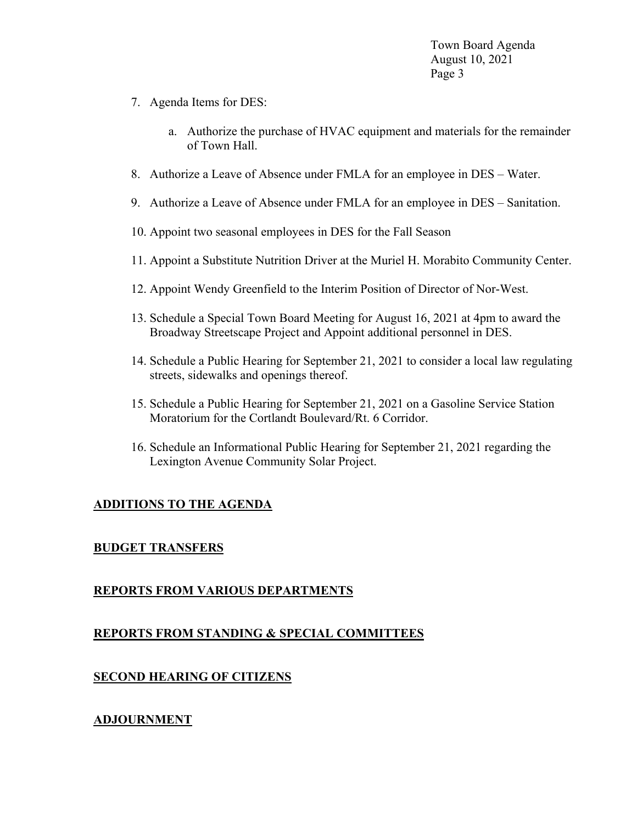Town Board Agenda August 10, 2021 Page 3

- 7. Agenda Items for DES:
	- a. Authorize the purchase of HVAC equipment and materials for the remainder of Town Hall.
- 8. Authorize a Leave of Absence under FMLA for an employee in DES Water.
- 9. Authorize a Leave of Absence under FMLA for an employee in DES Sanitation.
- 10. Appoint two seasonal employees in DES for the Fall Season
- 11. Appoint a Substitute Nutrition Driver at the Muriel H. Morabito Community Center.
- 12. Appoint Wendy Greenfield to the Interim Position of Director of Nor-West.
- 13. Schedule a Special Town Board Meeting for August 16, 2021 at 4pm to award the Broadway Streetscape Project and Appoint additional personnel in DES.
- 14. Schedule a Public Hearing for September 21, 2021 to consider a local law regulating streets, sidewalks and openings thereof.
- 15. Schedule a Public Hearing for September 21, 2021 on a Gasoline Service Station Moratorium for the Cortlandt Boulevard/Rt. 6 Corridor.
- 16. Schedule an Informational Public Hearing for September 21, 2021 regarding the Lexington Avenue Community Solar Project.

#### **ADDITIONS TO THE AGENDA**

#### **BUDGET TRANSFERS**

#### **REPORTS FROM VARIOUS DEPARTMENTS**

#### **REPORTS FROM STANDING & SPECIAL COMMITTEES**

#### **SECOND HEARING OF CITIZENS**

#### **ADJOURNMENT**